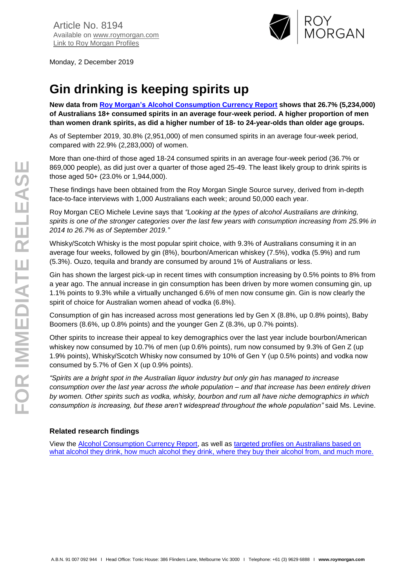

Monday, 2 December 2019

# **Gin drinking is keeping spirits up**

**New data from [Roy Morgan's Alcohol Consumption Currency Report](https://store.roymorgan.com/products/australia/fmcg/alcohol/currency) shows that 26.7% (5,234,000) of Australians 18+ consumed spirits in an average four-week period. A higher proportion of men than women drank spirits, as did a higher number of 18- to 24-year-olds than older age groups.**

As of September 2019, 30.8% (2,951,000) of men consumed spirits in an average four-week period, compared with 22.9% (2,283,000) of women.

More than one-third of those aged 18-24 consumed spirits in an average four-week period (36.7% or 869,000 people), as did just over a quarter of those aged 25-49. The least likely group to drink spirits is those aged 50+ (23.0% or 1,944,000).

These findings have been obtained from the Roy Morgan Single Source survey, derived from in-depth face-to-face interviews with 1,000 Australians each week; around 50,000 each year.

Roy Morgan CEO Michele Levine says that *"Looking at the types of alcohol Australians are drinking, spirits is one of the stronger categories over the last few years with consumption increasing from 25.9% in 2014 to 26.7% as of September 2019."*

Whisky/Scotch Whisky is the most popular spirit choice, with 9.3% of Australians consuming it in an average four weeks, followed by gin (8%), bourbon/American whiskey (7.5%), vodka (5.9%) and rum (5.3%). Ouzo, tequila and brandy are consumed by around 1% of Australians or less.

Gin has shown the largest pick-up in recent times with consumption increasing by 0.5% points to 8% from a year ago. The annual increase in gin consumption has been driven by more women consuming gin, up 1.1% points to 9.3% while a virtually unchanged 6.6% of men now consume gin. Gin is now clearly the spirit of choice for Australian women ahead of vodka (6.8%).

Consumption of gin has increased across most generations led by Gen X (8.8%, up 0.8% points), Baby Boomers (8.6%, up 0.8% points) and the younger Gen Z (8.3%, up 0.7% points).

Other spirits to increase their appeal to key demographics over the last year include bourbon/American whiskey now consumed by 10.7% of men (up 0.6% points), rum now consumed by 9.3% of Gen Z (up 1.9% points), Whisky/Scotch Whisky now consumed by 10% of Gen Y (up 0.5% points) and vodka now consumed by 5.7% of Gen X (up 0.9% points).

*"Spirits are a bright spot in the Australian liquor industry but only gin has managed to increase consumption over the last year across the whole population – and that increase has been entirely driven by women. Other spirits such as vodka, whisky, bourbon and rum all have niche demographics in which consumption is increasing, but these aren't widespread throughout the whole population"* said Ms. Levine.

#### **Related research findings**

View the [Alcohol Consumption Currency Report,](https://store.roymorgan.com/products/australia/fmcg/alcohol/currency) as well as [targeted profiles on Australians based on](https://store.roymorgan.com/products/australia/alcohol)  [what alcohol they drink, how much alcohol they drink, where they buy their alcohol from, and much more.](https://store.roymorgan.com/products/australia/alcohol)